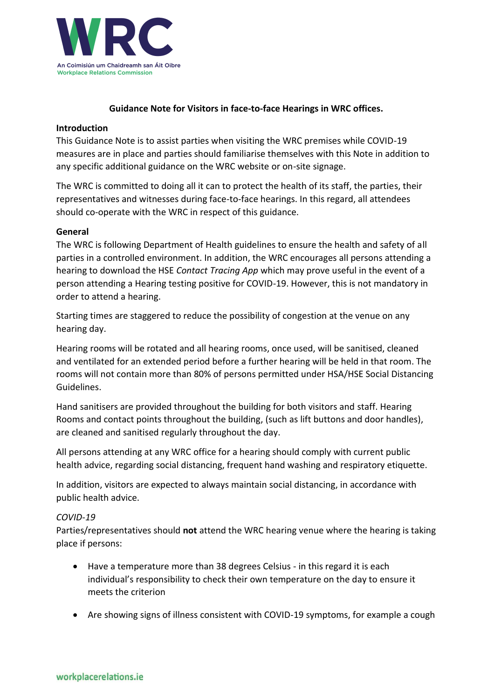

### **Guidance Note for Visitors in face-to-face Hearings in WRC offices.**

#### **Introduction**

This Guidance Note is to assist parties when visiting the WRC premises while COVID-19 measures are in place and parties should familiarise themselves with this Note in addition to any specific additional guidance on the WRC website or on-site signage.

The WRC is committed to doing all it can to protect the health of its staff, the parties, their representatives and witnesses during face-to-face hearings. In this regard, all attendees should co-operate with the WRC in respect of this guidance.

#### **General**

The WRC is following Department of Health guidelines to ensure the health and safety of all parties in a controlled environment. In addition, the WRC encourages all persons attending a hearing to download the HSE *Contact Tracing App* which may prove useful in the event of a person attending a Hearing testing positive for COVID-19. However, this is not mandatory in order to attend a hearing.

Starting times are staggered to reduce the possibility of congestion at the venue on any hearing day.

Hearing rooms will be rotated and all hearing rooms, once used, will be sanitised, cleaned and ventilated for an extended period before a further hearing will be held in that room. The rooms will not contain more than 80% of persons permitted under HSA/HSE Social Distancing Guidelines.

Hand sanitisers are provided throughout the building for both visitors and staff. Hearing Rooms and contact points throughout the building, (such as lift buttons and door handles), are cleaned and sanitised regularly throughout the day.

All persons attending at any WRC office for a hearing should comply with current public health advice, regarding social distancing, frequent hand washing and respiratory etiquette.

In addition, visitors are expected to always maintain social distancing, in accordance with public health advice.

#### *COVID-19*

Parties/representatives should **not** attend the WRC hearing venue where the hearing is taking place if persons:

- Have a temperature more than 38 degrees Celsius in this regard it is each individual's responsibility to check their own temperature on the day to ensure it meets the criterion
- Are showing signs of illness consistent with COVID-19 symptoms, for example a cough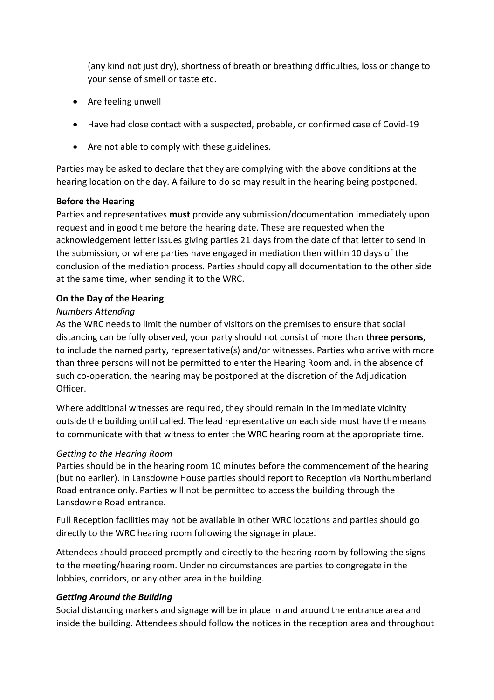(any kind not just dry), shortness of breath or breathing difficulties, loss or change to your sense of smell or taste etc.

- Are feeling unwell
- Have had close contact with a suspected, probable, or confirmed case of Covid-19
- Are not able to comply with these guidelines.

Parties may be asked to declare that they are complying with the above conditions at the hearing location on the day. A failure to do so may result in the hearing being postponed.

# **Before the Hearing**

Parties and representatives **must** provide any submission/documentation immediately upon request and in good time before the hearing date. These are requested when the acknowledgement letter issues giving parties 21 days from the date of that letter to send in the submission, or where parties have engaged in mediation then within 10 days of the conclusion of the mediation process. Parties should copy all documentation to the other side at the same time, when sending it to the WRC.

# **On the Day of the Hearing**

### *Numbers Attending*

As the WRC needs to limit the number of visitors on the premises to ensure that social distancing can be fully observed, your party should not consist of more than **three persons**, to include the named party, representative(s) and/or witnesses. Parties who arrive with more than three persons will not be permitted to enter the Hearing Room and, in the absence of such co-operation, the hearing may be postponed at the discretion of the Adjudication Officer.

Where additional witnesses are required, they should remain in the immediate vicinity outside the building until called. The lead representative on each side must have the means to communicate with that witness to enter the WRC hearing room at the appropriate time.

# *Getting to the Hearing Room*

Parties should be in the hearing room 10 minutes before the commencement of the hearing (but no earlier). In Lansdowne House parties should report to Reception via Northumberland Road entrance only. Parties will not be permitted to access the building through the Lansdowne Road entrance.

Full Reception facilities may not be available in other WRC locations and parties should go directly to the WRC hearing room following the signage in place.

Attendees should proceed promptly and directly to the hearing room by following the signs to the meeting/hearing room. Under no circumstances are parties to congregate in the lobbies, corridors, or any other area in the building.

# *Getting Around the Building*

Social distancing markers and signage will be in place in and around the entrance area and inside the building. Attendees should follow the notices in the reception area and throughout